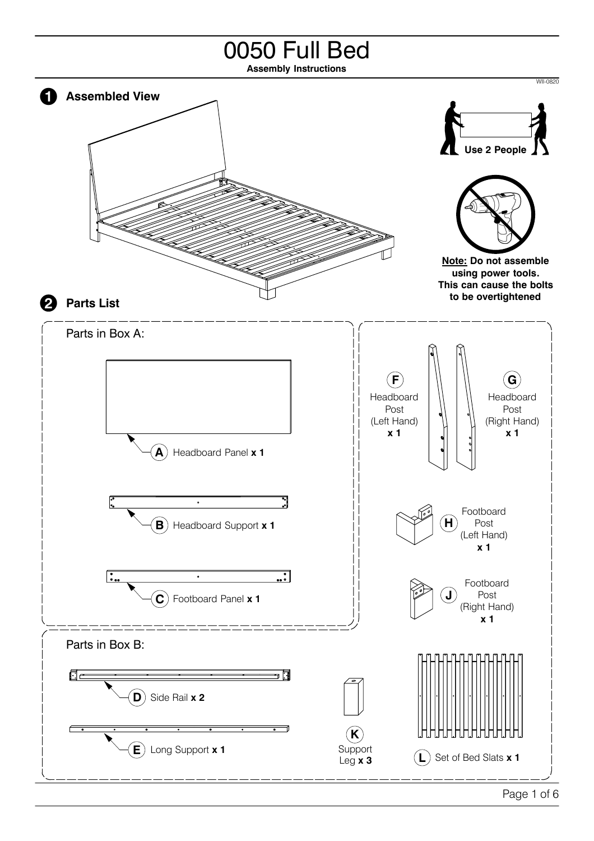## 0050 Full Bed

**Assembly Instructions**

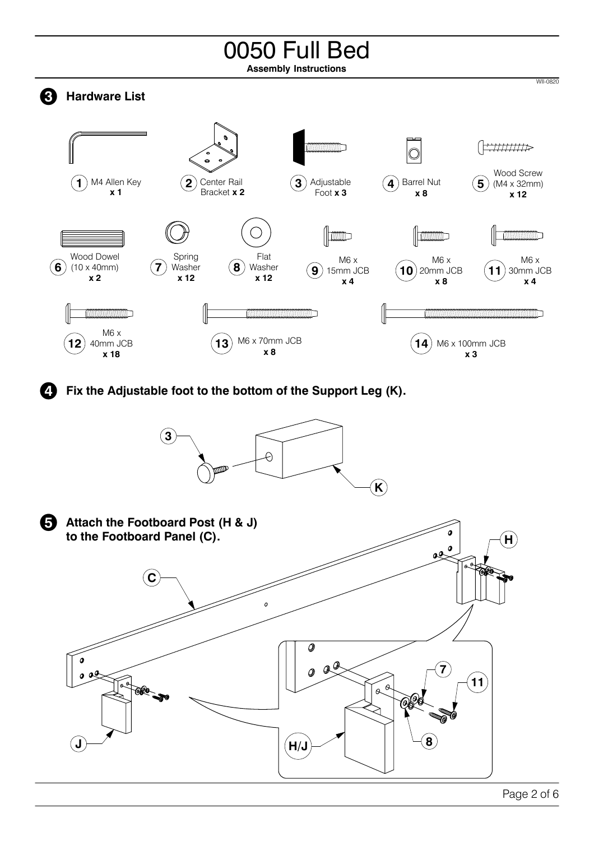## 0050 Full Bed

**Assembly Instructions**





**J**

 $\boldsymbol{a}$ 

 $\mathbf{a}^{\mathcal{G}}$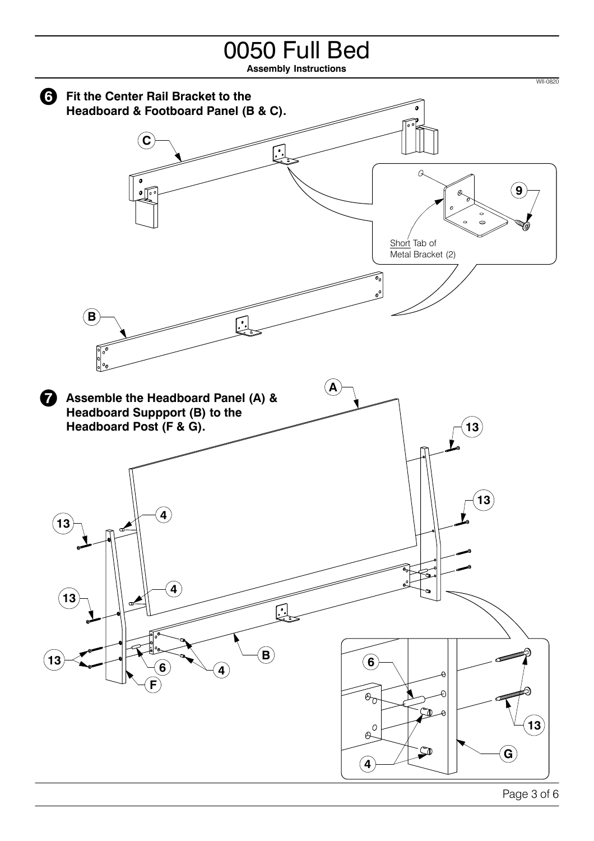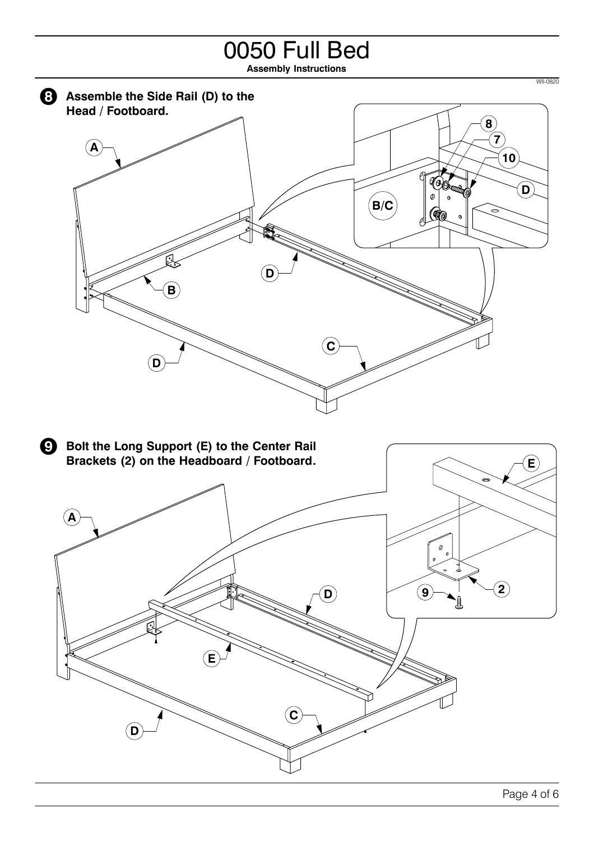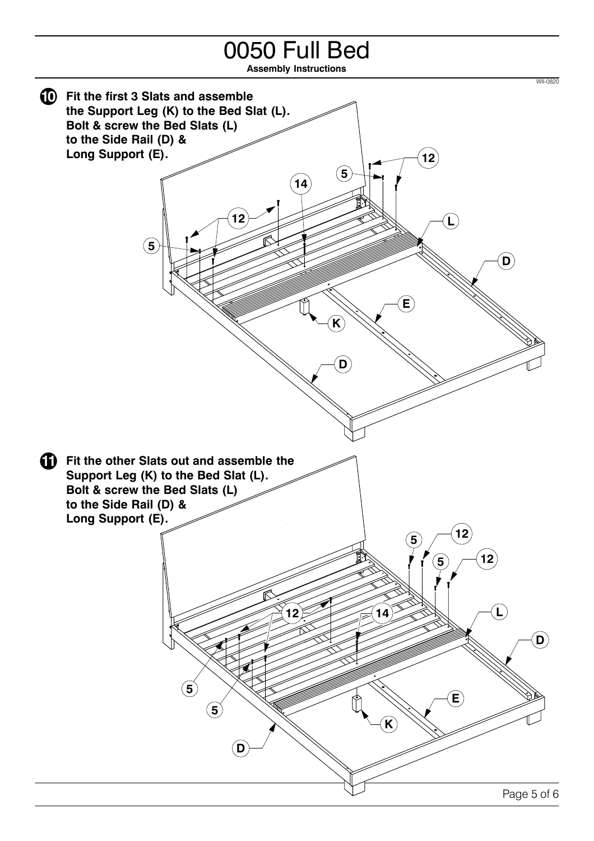